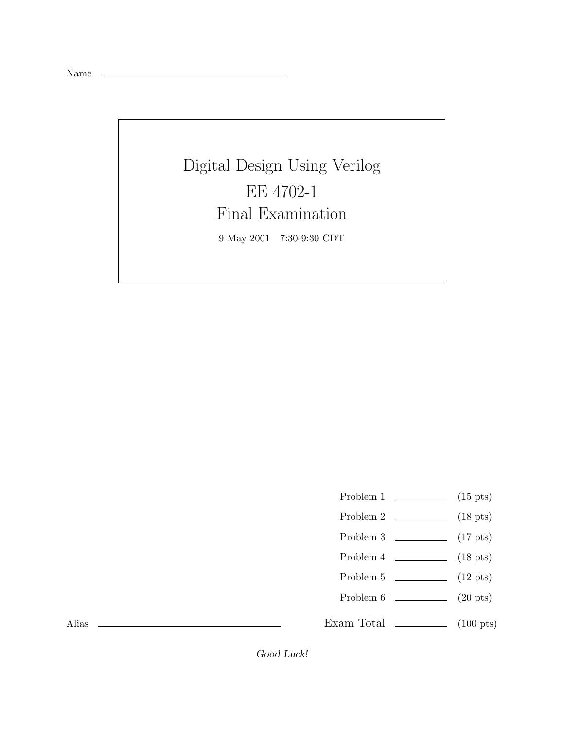Name

## Digital Design Using Verilog EE 4702-1 Final Examination 9 May 2001 7:30-9:30 CDT

- Problem 1  $\qquad \qquad$  (15 pts)
- Problem 2  $\qquad \qquad$  (18 pts)
- Problem 3 (17 pts)
- Problem  $4 \t\t(18 \text{ pts})$
- Problem 5 (12 pts)
- Problem 6 (20 pts)

Exam Total  $\qquad \qquad$  (100 pts)

Alias

Good Luck!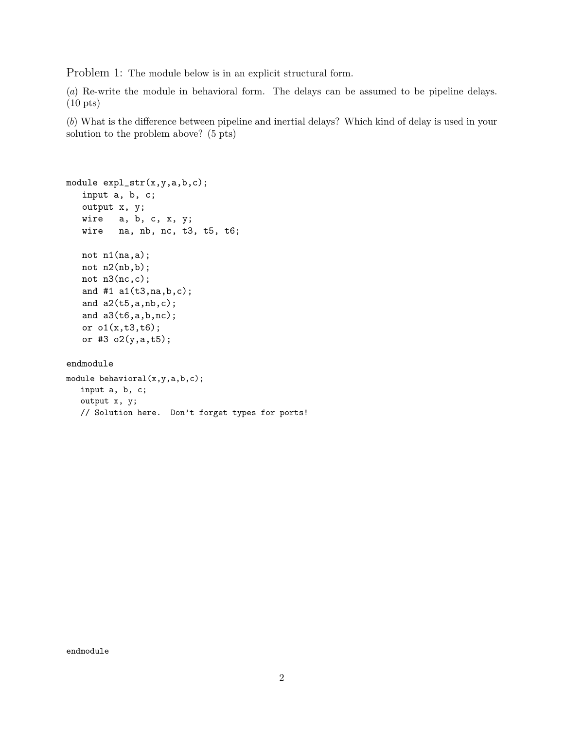Problem 1: The module below is in an explicit structural form.

(*a*) Re-write the module in behavioral form. The delays can be assumed to be pipeline delays. (10 pts)

(*b*) What is the difference between pipeline and inertial delays? Which kind of delay is used in your solution to the problem above? (5 pts)

```
module expl_str(x,y,a,b,c);
   input a, b, c;
   output x, y;
   wire a, b, c, x, y;
   wire na, nb, nc, t3, t5, t6;
  not n1(na,a);
   not n2(nb,b);
  not n3(nc,c);
   and #1 a1(t3,na,b,c);
   and a2(t5,a,nb,c);
   and a3(t6,a,b,nc);
   or o1(x,t3,t6);
   or #3 o2(y,a,t5);
endmodule
module behavioral(x,y,a,b,c);
  input a, b, c;
```
// Solution here. Don't forget types for ports!

output x, y;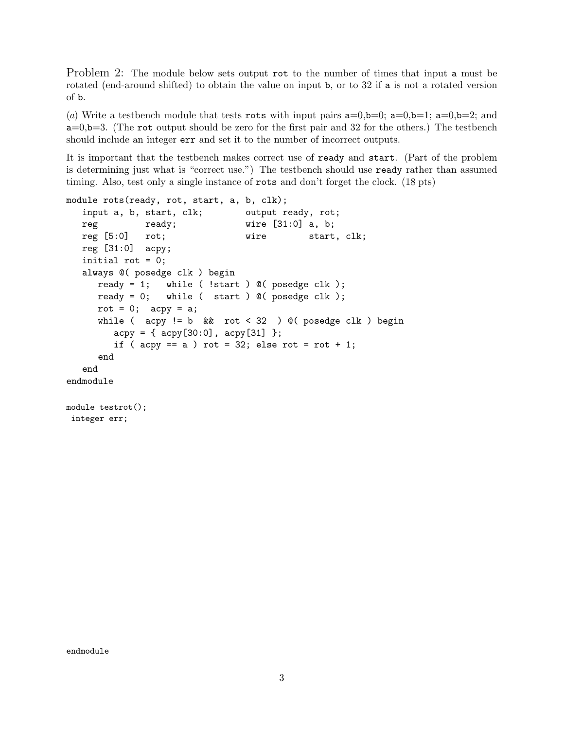Problem 2: The module below sets output rot to the number of times that input a must be rotated (end-around shifted) to obtain the value on input b, or to 32 if a is not a rotated version of b.

(*a*) Write a testbench module that tests rots with input pairs  $a=0,b=0$ ;  $a=0,b=1$ ;  $a=0,b=2$ ; and  $a=0, b=3$ . (The rot output should be zero for the first pair and 32 for the others.) The testbench should include an integer err and set it to the number of incorrect outputs.

It is important that the testbench makes correct use of ready and start. (Part of the problem is determining just what is "correct use.") The testbench should use ready rather than assumed timing. Also, test only a single instance of rots and don't forget the clock. (18 pts)

```
module rots(ready, rot, start, a, b, clk);
  input a, b, start, clk; output ready, rot;
  reg ready; wire [31:0] a, b;
  reg [5:0] rot; wire start, clk;
  reg [31:0] acpy;
  initial rot = 0;
  always @( posedge clk ) begin
     ready = 1; while ( !start ) \mathbb{O}( posedge clk );
     ready = 0; while ( start ) @( posedge clk );
     rot = 0; acpy = a;
     while ( acy != b && rot < 32 ) @( posedge clk ) begin
        acpy = { \alpha cpy[30:0], acpy[31], }if ( acpy == a ) rot = 32; else rot = rot + 1;
     end
  end
endmodule
module testrot();
integer err;
```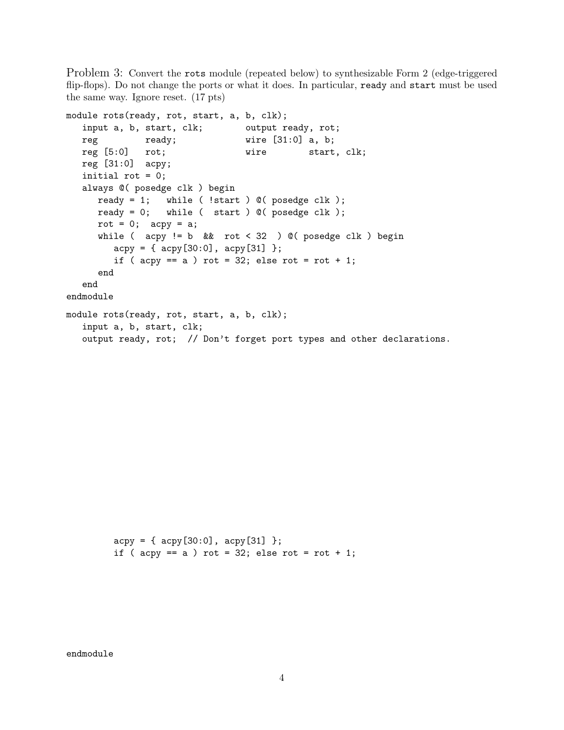Problem 3: Convert the rots module (repeated below) to synthesizable Form 2 (edge-triggered flip-flops). Do not change the ports or what it does. In particular, ready and start must be used the same way. Ignore reset. (17 pts)

```
module rots(ready, rot, start, a, b, clk);
  input a, b, start, clk; output ready, rot;
  reg ready; wire [31:0] a, b;
  reg [5:0] rot; wire start, clk;
  reg [31:0] acpy;
  initial rot = 0;
  always @( posedge clk ) begin
     ready = 1; while ( !start ) @( posedge clk );
     ready = 0; while ( start ) @ ( posedge clk );
     rot = 0; acy = a;
     while ( acpy != b && rot < 32 ) @( posedge clk ) begin
        acpy = { \alpha cpy[30:0], acpy[31] };if ( acpy == a ) rot = 32; else rot = rot + 1;
     end
  end
endmodule
module rots(ready, rot, start, a, b, clk);
  input a, b, start, clk;
  output ready, rot; // Don't forget port types and other declarations.
```
 $acpy = { \alpha cpy[30:0], acpy[31], }$ if ( acpy ==  $a$  ) rot = 32; else rot = rot + 1;

endmodule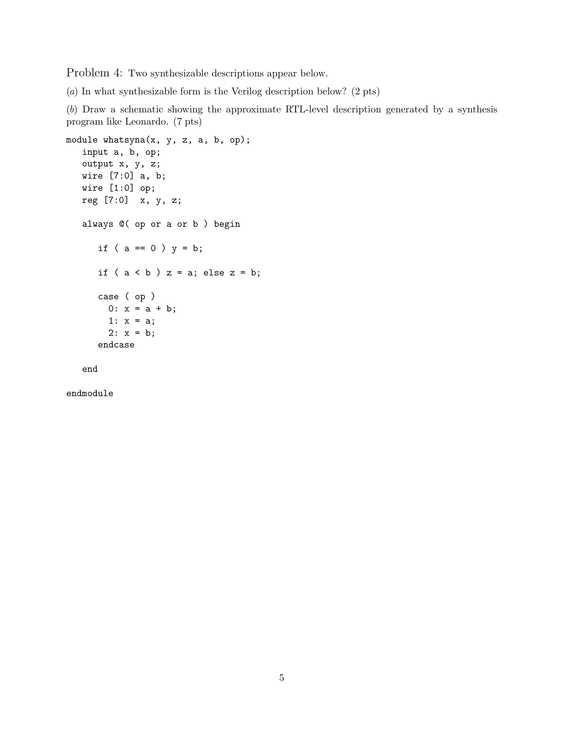Problem 4: Two synthesizable descriptions appear below.

(*a*) In what synthesizable form is the Verilog description below? (2 pts)

(*b*) Draw a schematic showing the approximate RTL-level description generated by a synthesis program like Leonardo. (7 pts)

```
module whatsyna(x, y, z, a, b, op);
   input a, b, op;
   output x, y, z;
   wire [7:0] a, b;
   wire [1:0] op;
   reg [7:0] x, y, z;
   always @( op or a or b ) begin
      if ( a == 0 ) y = b;
      if (a < b) z = a; else z = b;
      case ( op )
        0: x = a + b;1: x = a;2: x = b;endcase
```
end

endmodule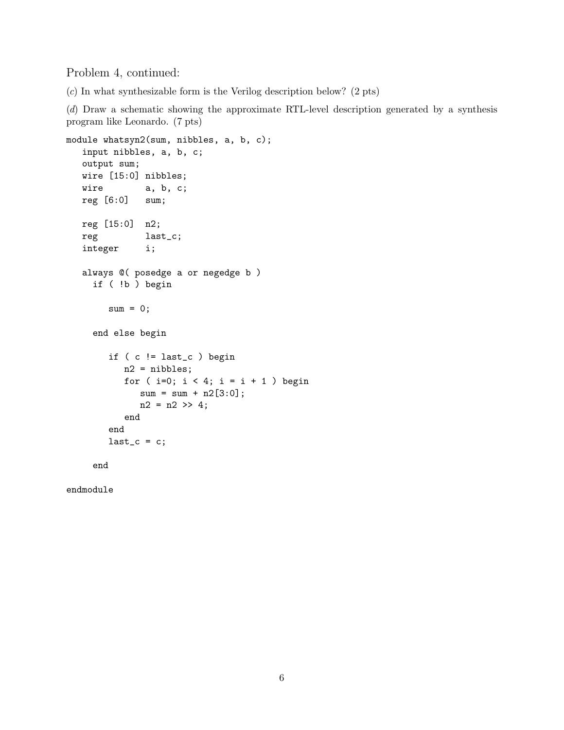Problem 4, continued:

(*c*) In what synthesizable form is the Verilog description below? (2 pts)

(*d*) Draw a schematic showing the approximate RTL-level description generated by a synthesis program like Leonardo. (7 pts)

```
module whatsyn2(sum, nibbles, a, b, c);
   input nibbles, a, b, c;
  output sum;
  wire [15:0] nibbles;
  wire a, b, c;
  reg [6:0] sum;
  reg [15:0] n2;
  reg last_c;
  integer i;
  always @( posedge a or negedge b )
    if ( !b ) begin
       sum = 0;
    end else begin
       if ( c != last_c ) begin
          n2 = nibbles;
          for ( i=0; i < 4; i = i + 1 ) begin
             sum = sum + n2[3:0];n2 = n2 \gg 4;end
       end
       last_c = c;end
```
endmodule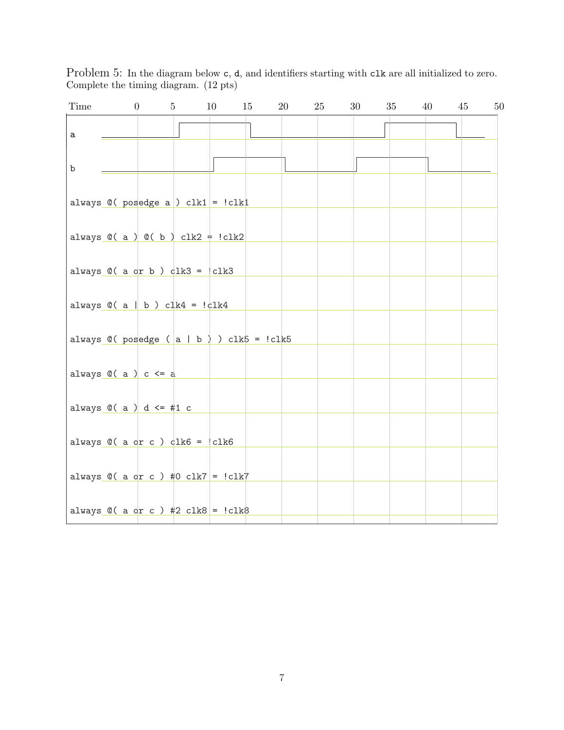Problem 5: In the diagram below  $c$ ,  $d$ , and identifiers starting with  $c$ lk are all initialized to zero. Complete the timing diagram. (12 pts)

| Time        | $\overline{0}$                                                                                                    | $5\degree$ | 10 | 15 | 20 | 25 | 30 | 35 | 40 | 45 | 50 |
|-------------|-------------------------------------------------------------------------------------------------------------------|------------|----|----|----|----|----|----|----|----|----|
| $\mathsf a$ |                                                                                                                   |            |    |    |    |    |    |    |    |    |    |
| b           |                                                                                                                   |            |    |    |    |    |    |    |    |    |    |
|             | always $@($ posedge a $)$ clk1 = !clk1                                                                            |            |    |    |    |    |    |    |    |    |    |
|             | always $\mathbb{O}(\begin{array}{c c} a \end{array})$ $\mathbb{O}(\begin{array}{c c} b \end{array})$ clk2 = !clk2 |            |    |    |    |    |    |    |    |    |    |
|             | always $\mathbb{O}(\begin{array}{c} \text{a or b} \end{array})$ $\frac{1}{2}k3 =  \text{clk3} $                   |            |    |    |    |    |    |    |    |    |    |
|             | always $\mathbb{O}(\begin{array}{c c} a & b \end{array})$ clk4 = $\frac{1}{c}$ k4                                 |            |    |    |    |    |    |    |    |    |    |
|             | always $\mathbb{O}(\text{posedge}(\text{a} \mid \text{b})) \text{clk}$ = !clk5                                    |            |    |    |    |    |    |    |    |    |    |
|             | always $\mathbb{O}(\alpha)$ c <= a                                                                                |            |    |    |    |    |    |    |    |    |    |
|             | always $\mathbb{O}(\alpha)$ d $\leq \frac{1}{4}$ c                                                                |            |    |    |    |    |    |    |    |    |    |
|             | always $Q(a \text{ or } c)$ $d$ lk6 =  clk6                                                                       |            |    |    |    |    |    |    |    |    |    |
|             | always $@( a of c )$ #0 clk7 = !clk7                                                                              |            |    |    |    |    |    |    |    |    |    |
|             | always $\mathbb{Q}$ ( a or c ) #2 clk8 = !clk8                                                                    |            |    |    |    |    |    |    |    |    |    |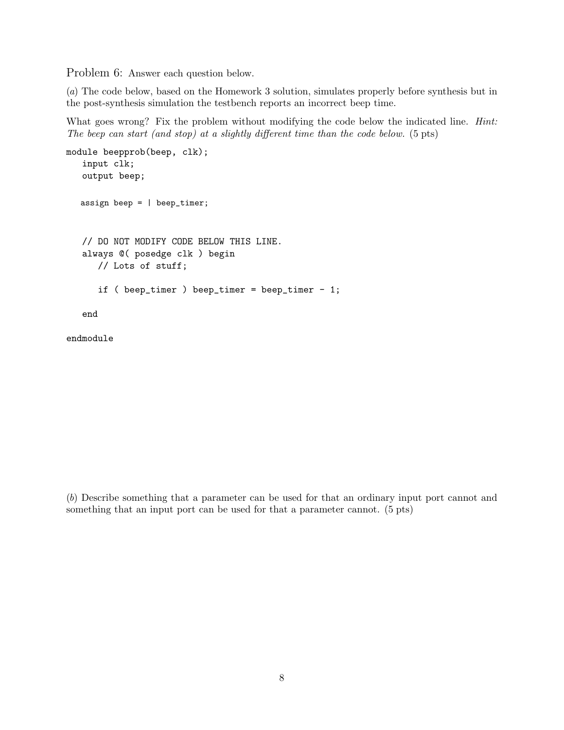Problem 6: Answer each question below.

(*a*) The code below, based on the Homework 3 solution, simulates properly before synthesis but in the post-synthesis simulation the testbench reports an incorrect beep time.

What goes wrong? Fix the problem without modifying the code below the indicated line. *Hint: The beep can start (and stop) at a slightly different time than the code below.* (5 pts)

```
module beepprob(beep, clk);
   input clk;
   output beep;
  assign beep = | beep_timer;
   // DO NOT MODIFY CODE BELOW THIS LINE.
   always @( posedge clk ) begin
      // Lots of stuff;
      if ( beep_timer ) beep_timer = beep_timer - 1;
   end
endmodule
```
(*b*) Describe something that a parameter can be used for that an ordinary input port cannot and something that an input port can be used for that a parameter cannot. (5 pts)